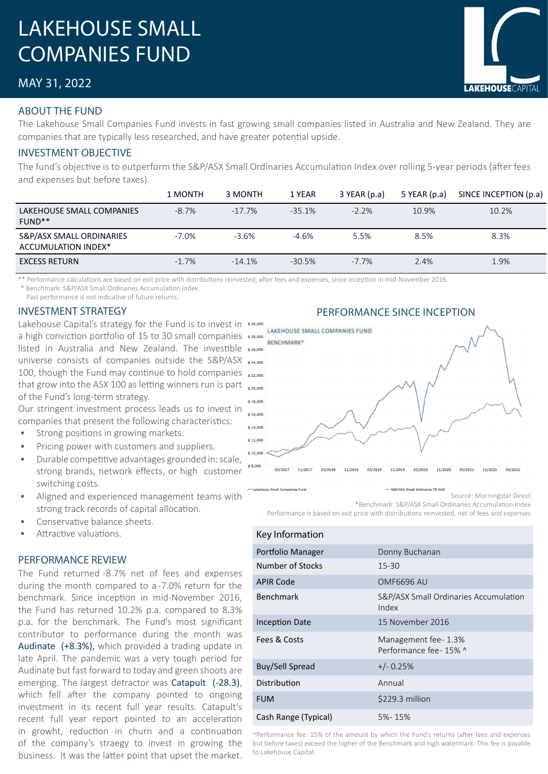# LAKEHOUSE SMALL COMPANIES FUND

# MAY 31, 2022

### ABOUT THE FUND

The Lakehouse Small Companies Fund invests in fast growing small companies listed in Australia and New Zealand. They are companies that are typically less researched, and have greater potential upside.

### INVESTMENT OBJECTIVE

The fund's objective is to outperform the S&P/ASX Small Ordinaries Accumulation Index over rolling 5-year periods (after fees and expenses but before taxes).

|                                                 | 1 MONTH  | 3 MONTH   | 1 YEAR    | $3$ YEAR (p.a) | 5 YEAR (p.a) | SINCE INCEPTION (p.a) |
|-------------------------------------------------|----------|-----------|-----------|----------------|--------------|-----------------------|
| LAKEHOUSE SMALL COMPANIES<br>FUND <sup>**</sup> | $-8.7\%$ | $-17.7\%$ | $-35.1%$  | $-2.2%$        | 10.9%        | 10.2%                 |
| S&P/ASX SMALL ORDINARIES<br>ACCUMULATION INDEX* | $-7.0%$  | $-3.6\%$  | $-4.6%$   | 5.5%           | 8.5%         | 8.3%                  |
| <b>EXCESS RETURN</b>                            | $-1.7\%$ | $-14.1%$  | $-30.5\%$ | $-7.7\%$       | 2.4%         | 1.9%                  |

\*\* Performance calculations are based on exit price with distributions reinvested, after fees and expenses, since inception in mid-November 2016. \* Benchmark: S&P/ASX Small Ordinaries Accumulation Index.

Past performance is not indicative of future returns.

Lakehouse Capital's strategy for the Fund is to invest in \*30,000 a high conviction portfolio of 15 to 30 small companies \*28,000 listed in Australia and New Zealand. The investible universe consists of companies outside the S&P/ASX 100, though the Fund may continue to hold companies  $\frac{22,000}{2}$ that grow into the ASX 100 as letting winners run is part  $_{*20,000}$ of the Fund's long-term strategy.

Our stringent investment process leads us to invest in companies that present the following characteristics:

- Strong positions in growing markets.
- Pricing power with customers and suppliers.
- Durable competitive advantages grounded in: scale, strong brands, network effects, or high customer switching costs.
- Aligned and experienced management teams with strong track records of capital allocation.
- Conservative balance sheets.
- Attractive valuations.

#### PERFORMANCE REVIEW

The Fund returned -8.7% net of fees and expenses during the month compared to a -7.0% return for the benchmark. Since inception in mid-November 2016, the Fund has returned 10.2% p.a. compared to 8.3% p.a. for the benchmark. The Fund's most significant contributor to performance during the month was Audinate (+8.3%), which provided a trading update in late April. The pandemic was a very tough period for Audinate but fast forward to today and green shoots are emerging. The largest detractor was Catapult (-28.3), which fell after the company pointed to ongoing investment in its recent full year results. Catapult's recent full year report pointed to an acceleration in growht, reduction in churn and a continuation of the company's straegy to invest in growing the business. It was the latter point that upset the market.

# INVESTMENT STRATEGY PERFORMANCE SINCE INCEPTION



\*Benchmark: S&P/ASX Small Ordinaries Accumulation Index Performance is based on exit price with distributions reinvested, net of fees and expenses

| Key Information      |                                                  |
|----------------------|--------------------------------------------------|
| Portfolio Manager    | Donny Buchanan                                   |
| Number of Stocks     | $15 - 30$                                        |
| <b>APIR Code</b>     | <b>OMF6696 AU</b>                                |
| <b>Benchmark</b>     | S&P/ASX Small Ordinaries Accumulation<br>Index   |
| Inception Date       | 15 November 2016                                 |
| Fees & Costs         | Management fee - 1.3%<br>Performance fee - 15% ^ |
| Buy/Sell Spread      | $+/- 0.25%$                                      |
| Distribution         | Annual                                           |
| <b>FUM</b>           | \$229.3 million                                  |
| Cash Range (Typical) | 5%-15%                                           |

^Performance fee: 15% of the amount by which the Fund's returns (after fees and expenses but before taxes) exceed the higher of the Benchmark and high watermark. This fee is payable to Lakehouse Capital.